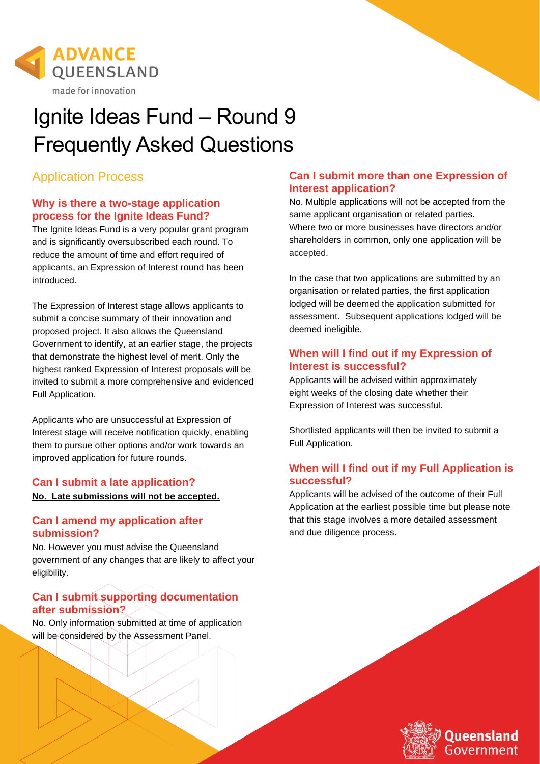

# Ignite Ideas Fund – Round 9 Frequently Asked Questions

# Application Process

## **Why is there a two-stage application process for the Ignite Ideas Fund?**

The Ignite Ideas Fund is a very popular grant program and is significantly oversubscribed each round. To reduce the amount of time and effort required of applicants, an Expression of Interest round has been introduced.

The Expression of Interest stage allows applicants to submit a concise summary of their innovation and proposed project. It also allows the Queensland Government to identify, at an earlier stage, the projects that demonstrate the highest level of merit. Only the highest ranked Expression of Interest proposals will be invited to submit a more comprehensive and evidenced Full Application.

Applicants who are unsuccessful at Expression of Interest stage will receive notification quickly, enabling them to pursue other options and/or work towards an improved application for future rounds.

#### **Can I submit a late application? No. Late submissions will not be accepted.**

# **Can I amend my application after submission?**

No. However you must advise the Queensland government of any changes that are likely to affect your eligibility.

# **Can I submit supporting documentation after submission?**

No. Only information submitted at time of application will be considered by the Assessment Panel.

## **Can I submit more than one Expression of Interest application?**

No. Multiple applications will not be accepted from the same applicant organisation or related parties. Where two or more businesses have directors and/or shareholders in common, only one application will be accepted.

In the case that two applications are submitted by an organisation or related parties, the first application lodged will be deemed the application submitted for assessment. Subsequent applications lodged will be deemed ineligible.

## **When will I find out if my Expression of Interest is successful?**

Applicants will be advised within approximately eight weeks of the closing date whether their Expression of Interest was successful.

Shortlisted applicants will then be invited to submit a Full Application.

# **When will I find out if my Full Application is successful?**

Applicants will be advised of the outcome of their Full Application at the earliest possible time but please note that this stage involves a more detailed assessment and due diligence process.

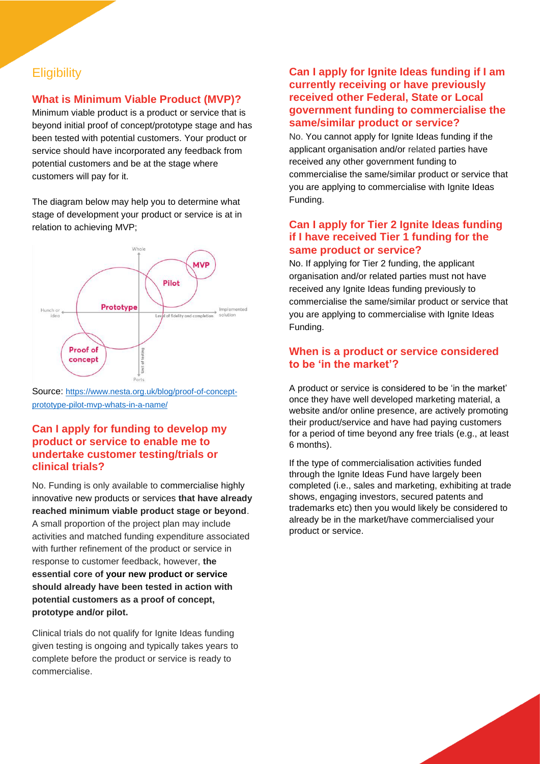# **Eligibility**

## **What is Minimum Viable Product (MVP)?**

Minimum viable product is a product or service that is beyond initial proof of concept/prototype stage and has been tested with potential customers. Your product or service should have incorporated any feedback from potential customers and be at the stage where customers will pay for it.

The diagram below may help you to determine what stage of development your product or service is at in relation to achieving MVP;



Source: [https://www.nesta.org.uk/blog/proof-of-concept](https://www.nesta.org.uk/blog/proof-of-concept-prototype-pilot-mvp-whats-in-a-name/)[prototype-pilot-mvp-whats-in-a-name/](https://www.nesta.org.uk/blog/proof-of-concept-prototype-pilot-mvp-whats-in-a-name/)

#### **Can I apply for funding to develop my product or service to enable me to undertake customer testing/trials or clinical trials?**

No. Funding is only available to commercialise highly innovative new products or services **that have already reached minimum viable product stage or beyond**. A small proportion of the project plan may include activities and matched funding expenditure associated with further refinement of the product or service in response to customer feedback, however, **the essential core of your new product or service should already have been tested in action with potential customers as a proof of concept, prototype and/or pilot.**

Clinical trials do not qualify for Ignite Ideas funding given testing is ongoing and typically takes years to complete before the product or service is ready to commercialise.

#### **Can I apply for Ignite Ideas funding if I am currently receiving or have previously received other Federal, State or Local government funding to commercialise the same/similar product or service?**

No. You cannot apply for Ignite Ideas funding if the applicant organisation and/or related parties have received any other government funding to commercialise the same/similar product or service that you are applying to commercialise with Ignite Ideas Funding.

## **Can I apply for Tier 2 Ignite Ideas funding if I have received Tier 1 funding for the same product or service?**

No. If applying for Tier 2 funding, the applicant organisation and/or related parties must not have received any Ignite Ideas funding previously to commercialise the same/similar product or service that you are applying to commercialise with Ignite Ideas Funding.

## **When is a product or service considered to be 'in the market'?**

A product or service is considered to be 'in the market' once they have well developed marketing material, a website and/or online presence, are actively promoting their product/service and have had paying customers for a period of time beyond any free trials (e.g., at least 6 months).

If the type of commercialisation activities funded through the Ignite Ideas Fund have largely been completed (i.e., sales and marketing, exhibiting at trade shows, engaging investors, secured patents and trademarks etc) then you would likely be considered to already be in the market/have commercialised your product or service.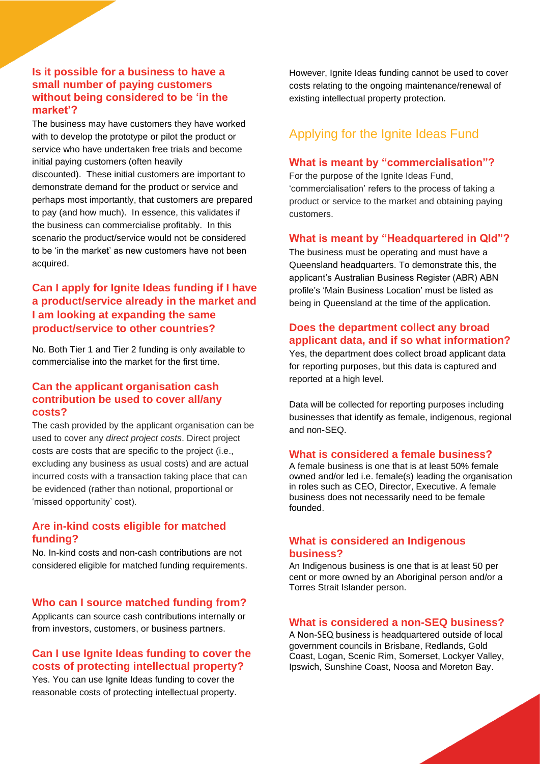#### **Is it possible for a business to have a small number of paying customers without being considered to be 'in the market'?**

The business may have customers they have worked with to develop the prototype or pilot the product or service who have undertaken free trials and become initial paying customers (often heavily discounted). These initial customers are important to demonstrate demand for the product or service and perhaps most importantly, that customers are prepared to pay (and how much). In essence, this validates if the business can commercialise profitably. In this scenario the product/service would not be considered to be 'in the market' as new customers have not been acquired.

## **Can I apply for Ignite Ideas funding if I have a product/service already in the market and I am looking at expanding the same product/service to other countries?**

No. Both Tier 1 and Tier 2 funding is only available to commercialise into the market for the first time.

#### **Can the applicant organisation cash contribution be used to cover all/any costs?**

The cash provided by the applicant organisation can be used to cover any *direct project costs*. Direct project costs are costs that are specific to the project (i.e., excluding any business as usual costs) and are actual incurred costs with a transaction taking place that can be evidenced (rather than notional, proportional or 'missed opportunity' cost).

#### **Are in-kind costs eligible for matched funding?**

No. In-kind costs and non-cash contributions are not considered eligible for matched funding requirements.

#### **Who can I source matched funding from?**

Applicants can source cash contributions internally or from investors, customers, or business partners.

#### **Can I use Ignite Ideas funding to cover the costs of protecting intellectual property?**

Yes. You can use Ignite Ideas funding to cover the reasonable costs of protecting intellectual property.

However, Ignite Ideas funding cannot be used to cover costs relating to the ongoing maintenance/renewal of existing intellectual property protection.

# Applying for the Ignite Ideas Fund

#### **What is meant by "commercialisation"?**

For the purpose of the Ignite Ideas Fund, 'commercialisation' refers to the process of taking a product or service to the market and obtaining paying customers.

#### **What is meant by "Headquartered in Qld"?**

The business must be operating and must have a Queensland headquarters. To demonstrate this, the applicant's Australian Business Register (ABR) ABN profile's 'Main Business Location' must be listed as being in Queensland at the time of the application.

#### **Does the department collect any broad applicant data, and if so what information?**

Yes, the department does collect broad applicant data for reporting purposes, but this data is captured and reported at a high level.

Data will be collected for reporting purposes including businesses that identify as female, indigenous, regional and non-SEQ.

#### **What is considered a female business?**

A female business is one that is at least 50% female owned and/or led i.e. female(s) leading the organisation in roles such as CEO, Director, Executive. A female business does not necessarily need to be female founded.

#### **What is considered an Indigenous business?**

An Indigenous business is one that is at least 50 per cent or more owned by an Aboriginal person and/or a Torres Strait Islander person.

#### **What is considered a non-SEQ business?**

A Non-SEQ business is headquartered outside of local government councils in Brisbane, Redlands, Gold Coast, Logan, Scenic Rim, Somerset, Lockyer Valley, Ipswich, Sunshine Coast, Noosa and Moreton Bay.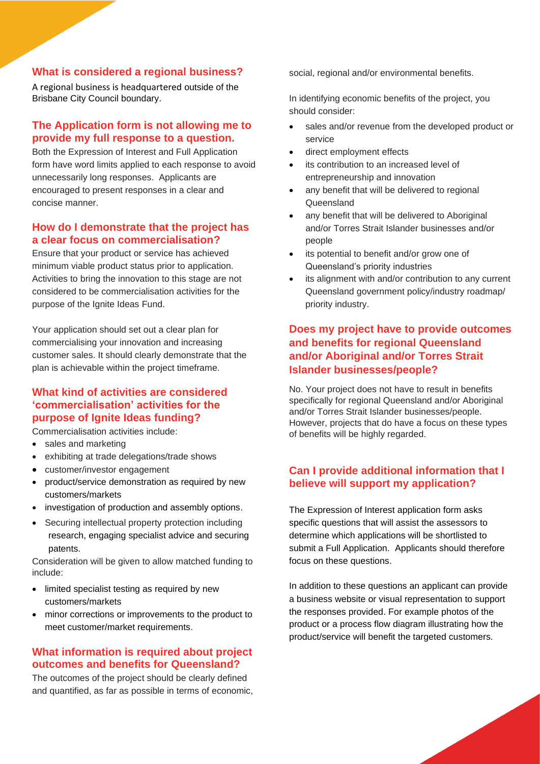#### **What is considered a regional business?**

A regional business is headquartered outside of the Brisbane City Council boundary.

#### **The Application form is not allowing me to provide my full response to a question.**

Both the Expression of Interest and Full Application form have word limits applied to each response to avoid unnecessarily long responses. Applicants are encouraged to present responses in a clear and concise manner.

#### **How do I demonstrate that the project has a clear focus on commercialisation?**

Ensure that your product or service has achieved minimum viable product status prior to application. Activities to bring the innovation to this stage are not considered to be commercialisation activities for the purpose of the Ignite Ideas Fund.

Your application should set out a clear plan for commercialising your innovation and increasing customer sales. It should clearly demonstrate that the plan is achievable within the project timeframe.

#### **What kind of activities are considered 'commercialisation' activities for the purpose of Ignite Ideas funding?**

Commercialisation activities include:

- sales and marketing
- exhibiting at trade delegations/trade shows
- customer/investor engagement
- product/service demonstration as required by new customers/markets
- investigation of production and assembly options.
- Securing intellectual property protection including research, engaging specialist advice and securing patents.

Consideration will be given to allow matched funding to include:

- limited specialist testing as required by new customers/markets
- minor corrections or improvements to the product to meet customer/market requirements.

#### **What information is required about project outcomes and benefits for Queensland?**

The outcomes of the project should be clearly defined and quantified, as far as possible in terms of economic, social, regional and/or environmental benefits.

In identifying economic benefits of the project, you should consider:

- sales and/or revenue from the developed product or service
- direct employment effects
- its contribution to an increased level of entrepreneurship and innovation
- any benefit that will be delivered to regional **Queensland**
- any benefit that will be delivered to Aboriginal and/or Torres Strait Islander businesses and/or people
- its potential to benefit and/or grow one of Queensland's priority industries
- its alignment with and/or contribution to any current Queensland government policy/industry roadmap/ priority industry.

## **Does my project have to provide outcomes and benefits for regional Queensland and/or Aboriginal and/or Torres Strait Islander businesses/people?**

No. Your project does not have to result in benefits specifically for regional Queensland and/or Aboriginal and/or Torres Strait Islander businesses/people. However, projects that do have a focus on these types of benefits will be highly regarded.

## **Can I provide additional information that I believe will support my application?**

The Expression of Interest application form asks specific questions that will assist the assessors to determine which applications will be shortlisted to submit a Full Application. Applicants should therefore focus on these questions.

In addition to these questions an applicant can provide a business website or visual representation to support the responses provided. For example photos of the product or a process flow diagram illustrating how the product/service will benefit the targeted customers.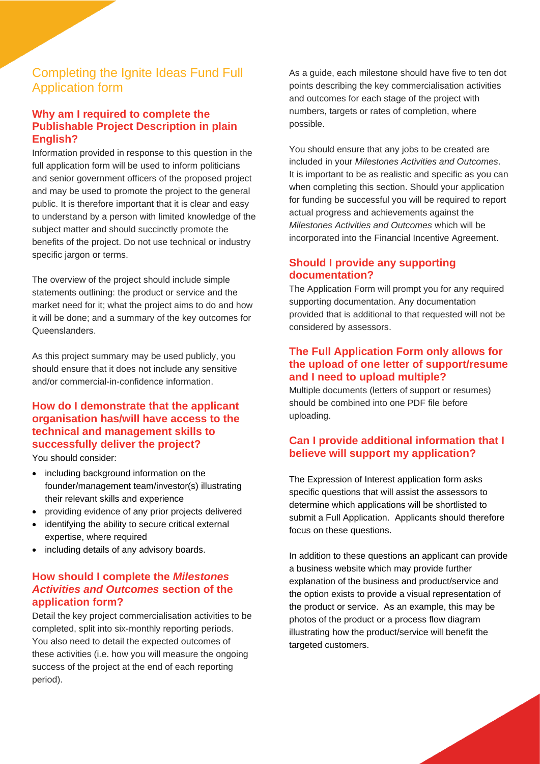# Completing the Ignite Ideas Fund Full Application form

#### **Why am I required to complete the Publishable Project Description in plain English?**

Information provided in response to this question in the full application form will be used to inform politicians and senior government officers of the proposed project and may be used to promote the project to the general public. It is therefore important that it is clear and easy to understand by a person with limited knowledge of the subject matter and should succinctly promote the benefits of the project. Do not use technical or industry specific jargon or terms.

The overview of the project should include simple statements outlining: the product or service and the market need for it; what the project aims to do and how it will be done; and a summary of the key outcomes for Queenslanders.

As this project summary may be used publicly, you should ensure that it does not include any sensitive and/or commercial-in-confidence information.

# **How do I demonstrate that the applicant organisation has/will have access to the technical and management skills to successfully deliver the project?**

You should consider:

- including background information on the founder/management team/investor(s) illustrating their relevant skills and experience
- providing evidence of any prior projects delivered
- identifying the ability to secure critical external expertise, where required
- including details of any advisory boards.

#### **How should I complete the** *Milestones Activities and Outcomes* **section of the application form?**

Detail the key project commercialisation activities to be completed, split into six-monthly reporting periods. You also need to detail the expected outcomes of these activities (i.e. how you will measure the ongoing success of the project at the end of each reporting period).

As a guide, each milestone should have five to ten dot points describing the key commercialisation activities and outcomes for each stage of the project with numbers, targets or rates of completion, where possible.

You should ensure that any jobs to be created are included in your *Milestones Activities and Outcomes*. It is important to be as realistic and specific as you can when completing this section. Should your application for funding be successful you will be required to report actual progress and achievements against the *Milestones Activities and Outcomes* which will be incorporated into the Financial Incentive Agreement.

#### **Should I provide any supporting documentation?**

The Application Form will prompt you for any required supporting documentation. Any documentation provided that is additional to that requested will not be considered by assessors.

#### **The Full Application Form only allows for the upload of one letter of support/resume and I need to upload multiple?**

Multiple documents (letters of support or resumes) should be combined into one PDF file before uploading.

## **Can I provide additional information that I believe will support my application?**

The Expression of Interest application form asks specific questions that will assist the assessors to determine which applications will be shortlisted to submit a Full Application. Applicants should therefore focus on these questions.

In addition to these questions an applicant can provide a business website which may provide further explanation of the business and product/service and the option exists to provide a visual representation of the product or service. As an example, this may be photos of the product or a process flow diagram illustrating how the product/service will benefit the targeted customers.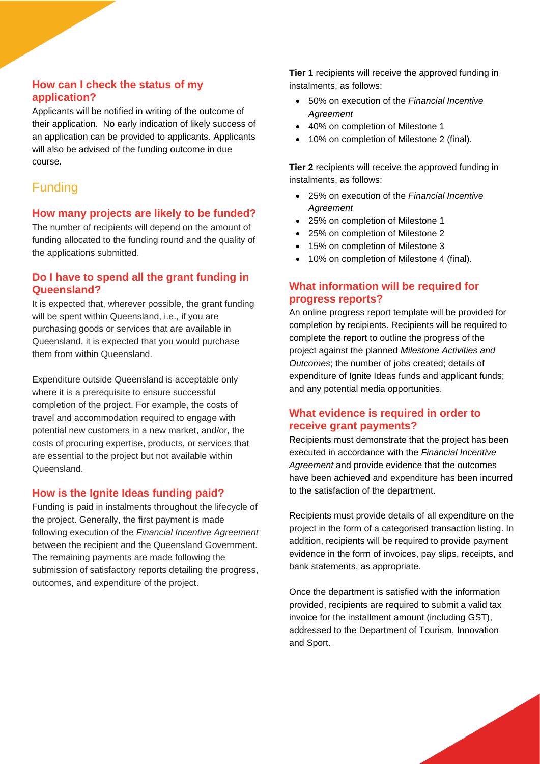#### **How can I check the status of my application?**

Applicants will be notified in writing of the outcome of their application. No early indication of likely success of an application can be provided to applicants. Applicants will also be advised of the funding outcome in due course.

# Funding

## **How many projects are likely to be funded?**

The number of recipients will depend on the amount of funding allocated to the funding round and the quality of the applications submitted.

## **Do I have to spend all the grant funding in Queensland?**

It is expected that, wherever possible, the grant funding will be spent within Queensland, i.e., if you are purchasing goods or services that are available in Queensland, it is expected that you would purchase them from within Queensland.

Expenditure outside Queensland is acceptable only where it is a prerequisite to ensure successful completion of the project. For example, the costs of travel and accommodation required to engage with potential new customers in a new market, and/or, the costs of procuring expertise, products, or services that are essential to the project but not available within Queensland.

# **How is the Ignite Ideas funding paid?**

Funding is paid in instalments throughout the lifecycle of the project. Generally, the first payment is made following execution of the *Financial Incentive Agreement* between the recipient and the Queensland Government. The remaining payments are made following the submission of satisfactory reports detailing the progress, outcomes, and expenditure of the project.

**Tier 1** recipients will receive the approved funding in instalments, as follows:

- 50% on execution of the *Financial Incentive Agreement*
- 40% on completion of Milestone 1
- 10% on completion of Milestone 2 (final).

**Tier 2** recipients will receive the approved funding in instalments, as follows:

- 25% on execution of the *Financial Incentive Agreement*
- 25% on completion of Milestone 1
- 25% on completion of Milestone 2
- 15% on completion of Milestone 3
- 10% on completion of Milestone 4 (final).

## **What information will be required for progress reports?**

An online progress report template will be provided for completion by recipients. Recipients will be required to complete the report to outline the progress of the project against the planned *Milestone Activities and Outcomes*; the number of jobs created; details of expenditure of lanite Ideas funds and applicant funds: and any potential media opportunities.

# **What evidence is required in order to receive grant payments?**

Recipients must demonstrate that the project has been executed in accordance with the *Financial Incentive Agreement* and provide evidence that the outcomes have been achieved and expenditure has been incurred to the satisfaction of the department.

Recipients must provide details of all expenditure on the project in the form of a categorised transaction listing. In addition, recipients will be required to provide payment evidence in the form of invoices, pay slips, receipts, and bank statements, as appropriate.

Once the department is satisfied with the information provided, recipients are required to submit a valid tax invoice for the installment amount (including GST), addressed to the Department of Tourism, Innovation and Sport.